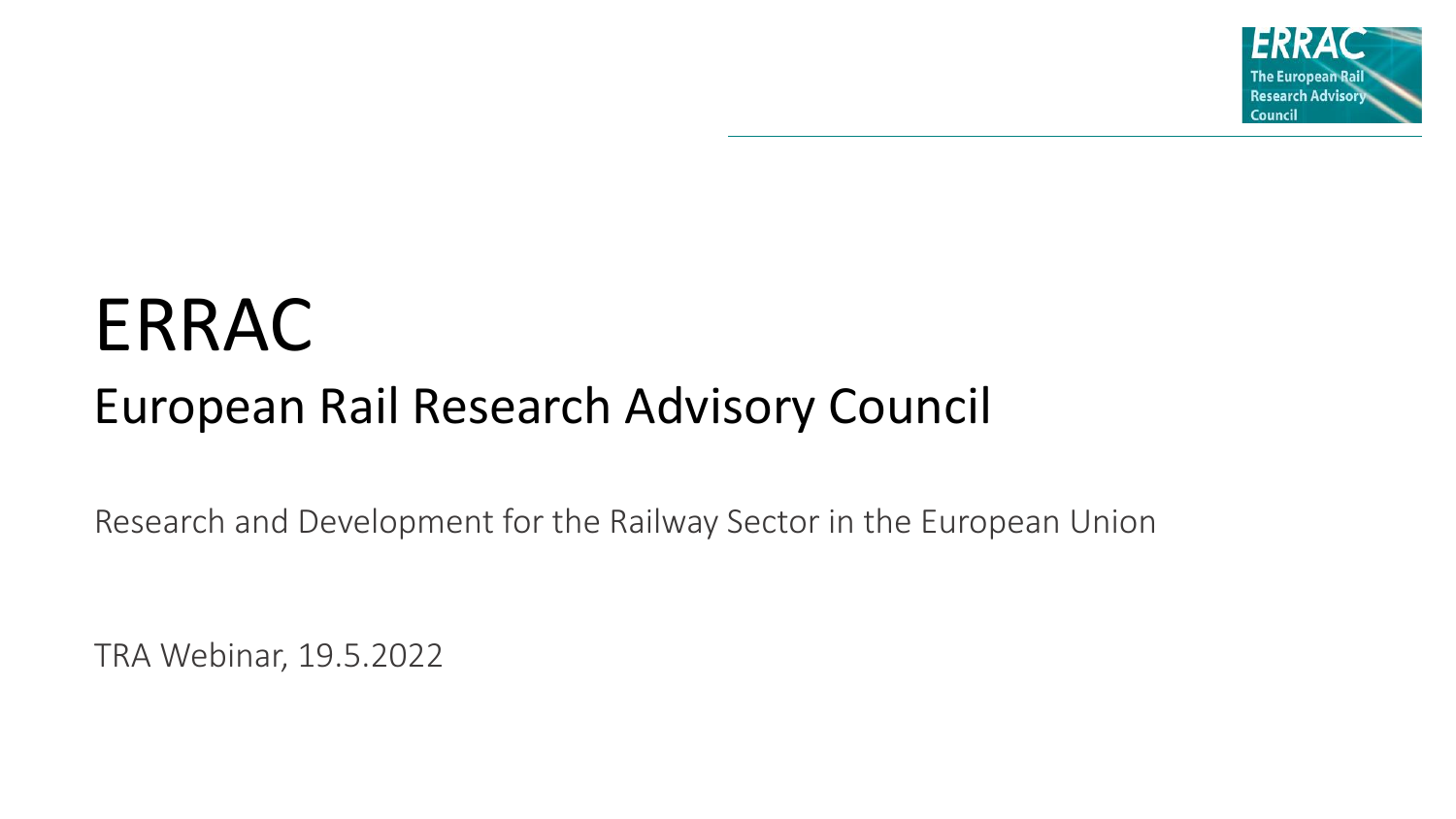

# ERRAC

# European Rail Research Advisory Council

Research and Development for the Railway Sector in the European Union

TRA Webinar, 19.5.2022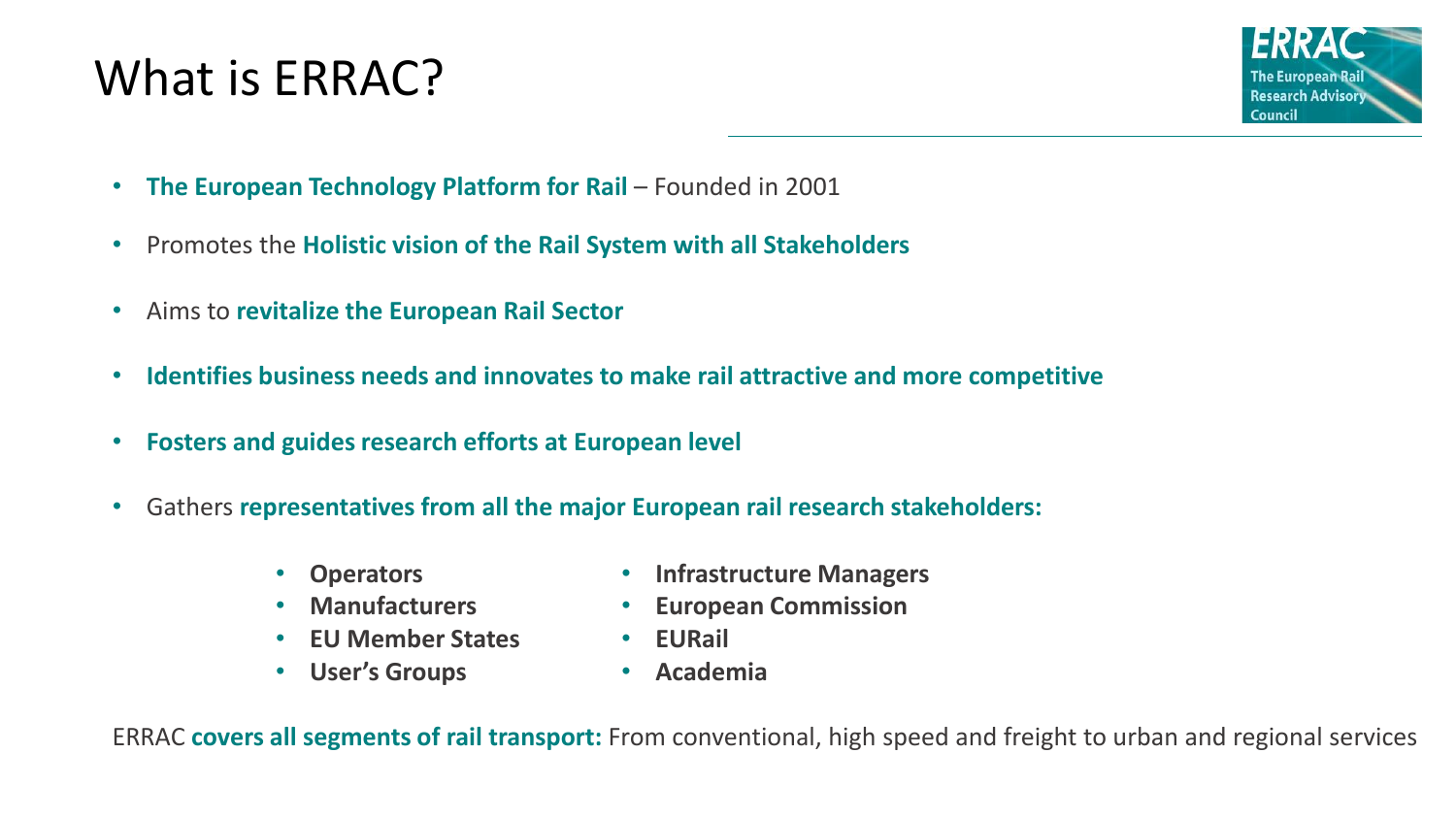# What is ERRAC?



- The European Technology Platform for Rail Founded in 2001
- Promotes the **Holistic vision of the Rail System with all Stakeholders**
- Aims to **revitalize the European Rail Sector**
- **Identifies business needs and innovates to make rail attractive and more competitive**
- **Fosters and guides research efforts at European level**
- Gathers **representatives from all the major European rail research stakeholders:**
	- **Operators**
	- **Manufacturers**
	- **EU Member States**
	- **User's Groups**
- **Infrastructure Managers**
- **European Commission**
- **EURail**
- **Academia**

ERRAC **covers all segments of rail transport:** From conventional, high speed and freight to urban and regional services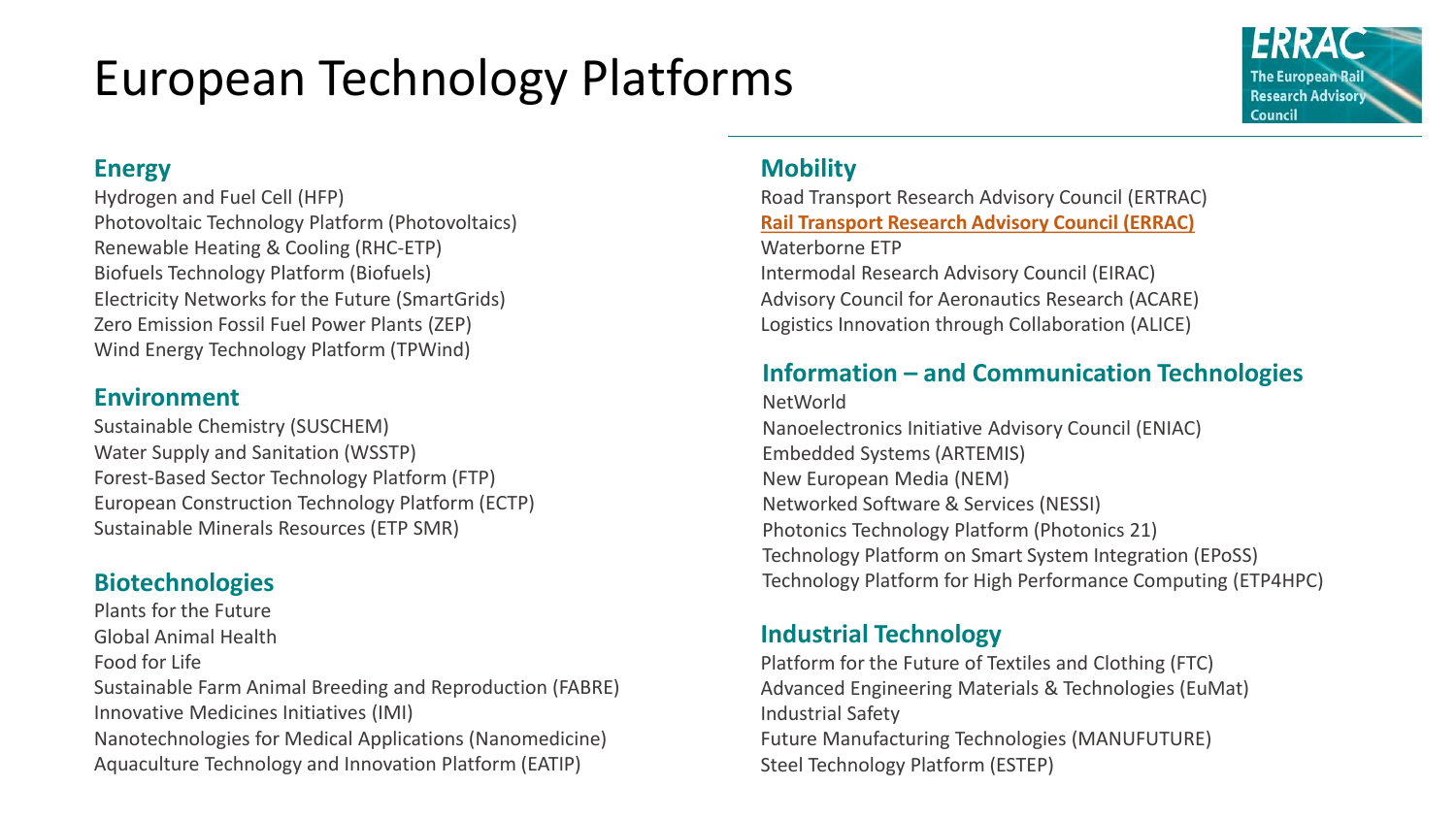# European Technology Platforms

## **The European Rai Research Advisory** Council

### **Energy**

Hydrogen and Fuel Cell (HFP) Photovoltaic Technology Platform (Photovoltaics) Renewable Heating & Cooling (RHC-ETP) Biofuels Technology Platform (Biofuels) Electricity Networks for the Future (SmartGrids) Zero Emission Fossil Fuel Power Plants (ZEP) Wind Energy Technology Platform (TPWind)

### **Environment**

Sustainable Chemistry (SUSCHEM) Water Supply and Sanitation (WSSTP) Forest-Based Sector Technology Platform (FTP) European Construction Technology Platform (ECTP) Sustainable Minerals Resources (ETP SMR)

Plants for the Future Global Animal Health Food for Life Sustainable Farm Animal Breeding and Reproduction (FABRE)

Innovative Medicines Initiatives (IMI) Nanotechnologies for Medical Applications (Nanomedicine) Aquaculture Technology and Innovation Platform (EATIP)

## **Mobility**

Road Transport Research Advisory Council (ERTRAC) **Rail Transport Research Advisory Council (ERRAC)** Waterborne ETP Intermodal Research Advisory Council (EIRAC) Advisory Council for Aeronautics Research (ACARE) Logistics Innovation through Collaboration (ALICE)

## **Information – and Communication Technologies**

NetWorld Nanoelectronics Initiative Advisory Council (ENIAC) Embedded Systems (ARTEMIS) New European Media (NEM) Networked Software & Services (NESSI) Photonics Technology Platform (Photonics 21) Technology Platform on Smart System Integration (EPoSS) **Biotechnologies Biotechnologies Technology Platform for High Performance Computing (ETP4HPC)** 

## **Industrial Technology**

Platform for the Future of Textiles and Clothing (FTC) Advanced Engineering Materials & Technologies (EuMat) Industrial Safety Future Manufacturing Technologies (MANUFUTURE) Steel Technology Platform (ESTEP)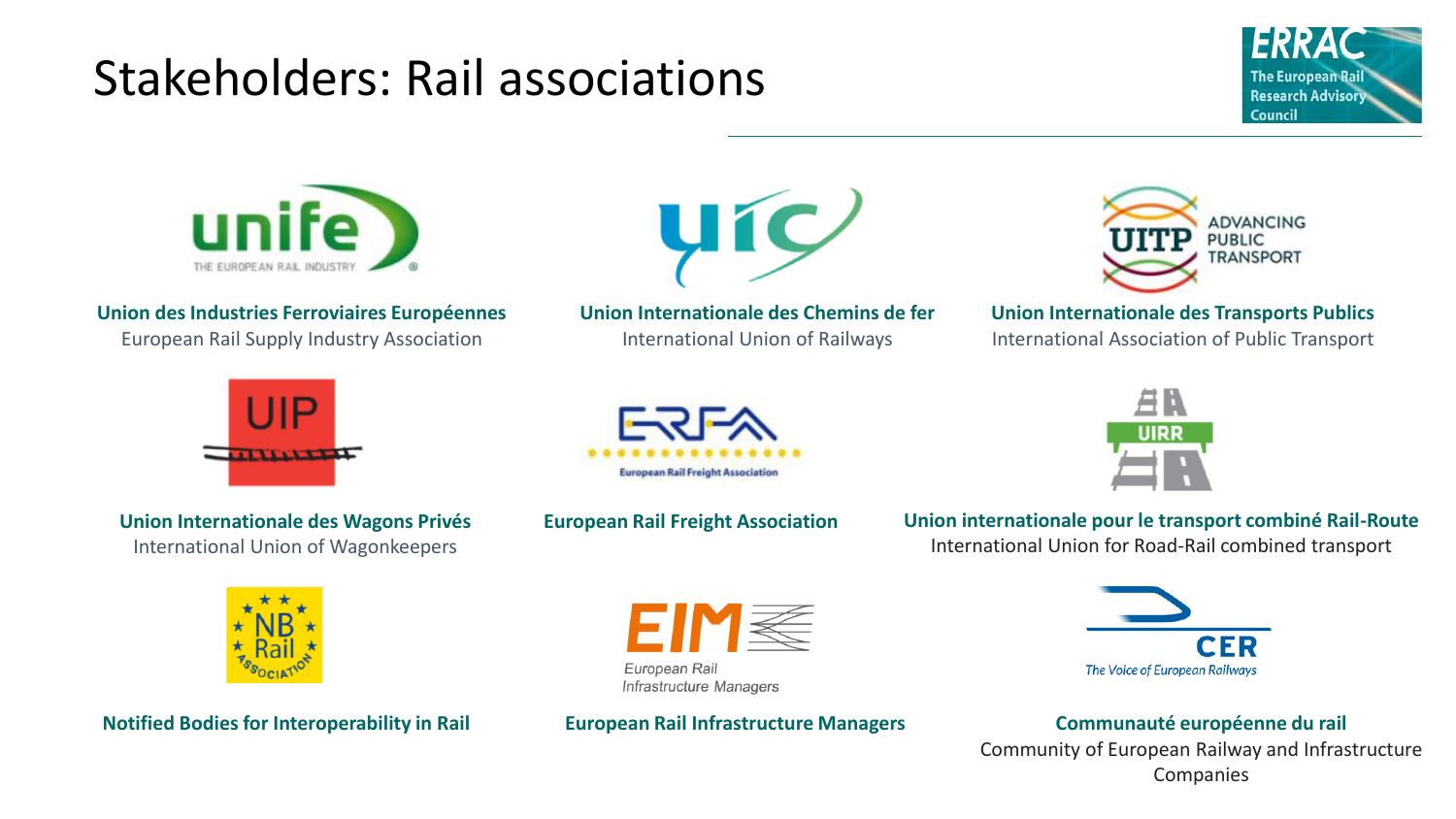# Stakeholders: Rail associations





**Union des Industries Ferroviaires Européennes** European Rail Supply Industry Association



**Union Internationale des Chemins de fer** International Union of Railways



**Union Internationale des Transports Publics**

International Association of Public Transport



**Union Internationale des Wagons Privés** International Union of Wagonkeepers





**European Rail Freight Association Union internationale pour le transport combiné Rail-Route** International Union for Road-Rail combined transport



**Notified Bodies for Interoperability in Rail European Rail Infrastructure Managers Communauté européenne du rail** 

```
EIM
European Rail
Infrastructure Managers
```


Community of European Railway and Infrastructure Companies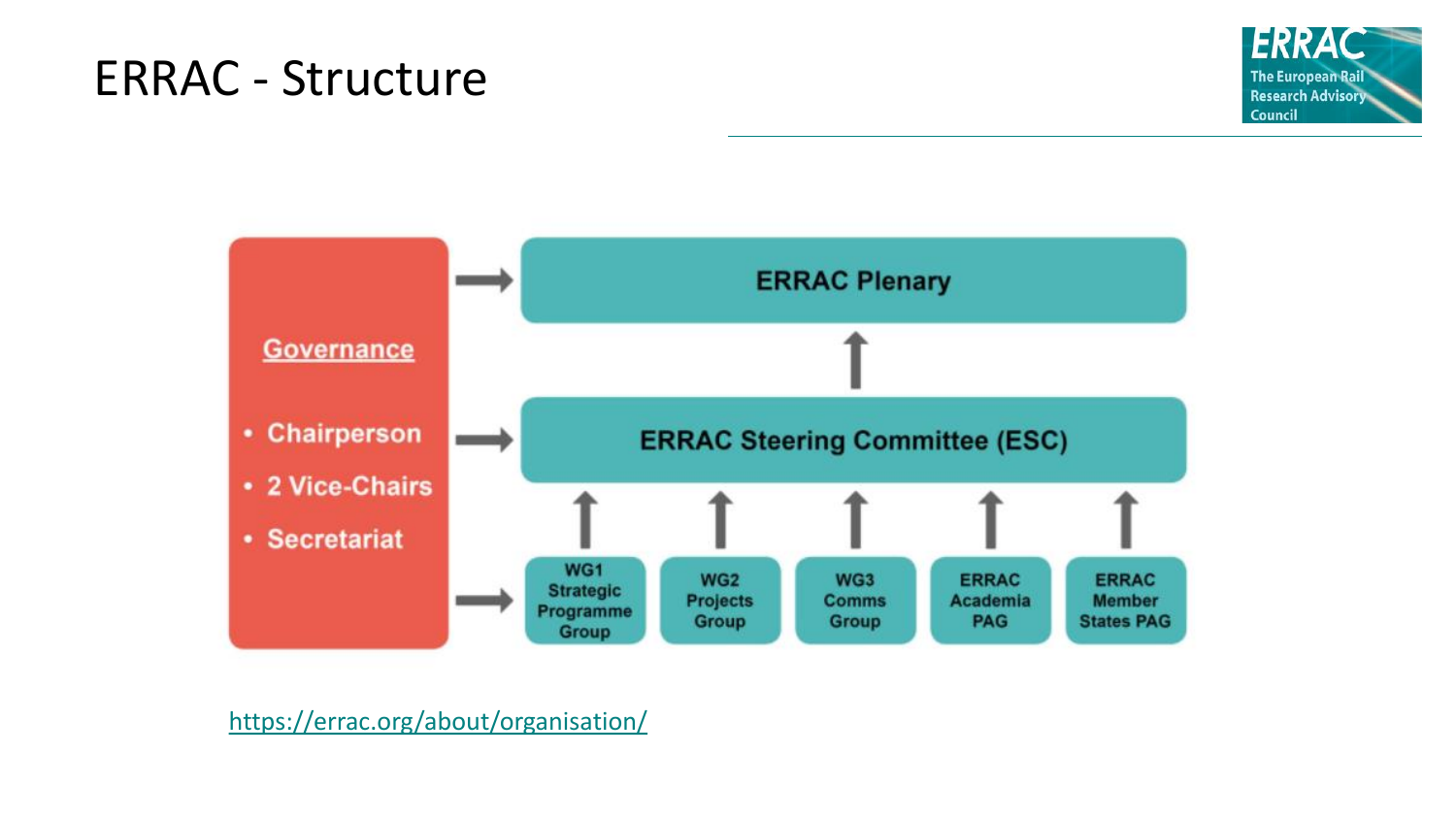# ERRAC - Structure





<https://errac.org/about/organisation/>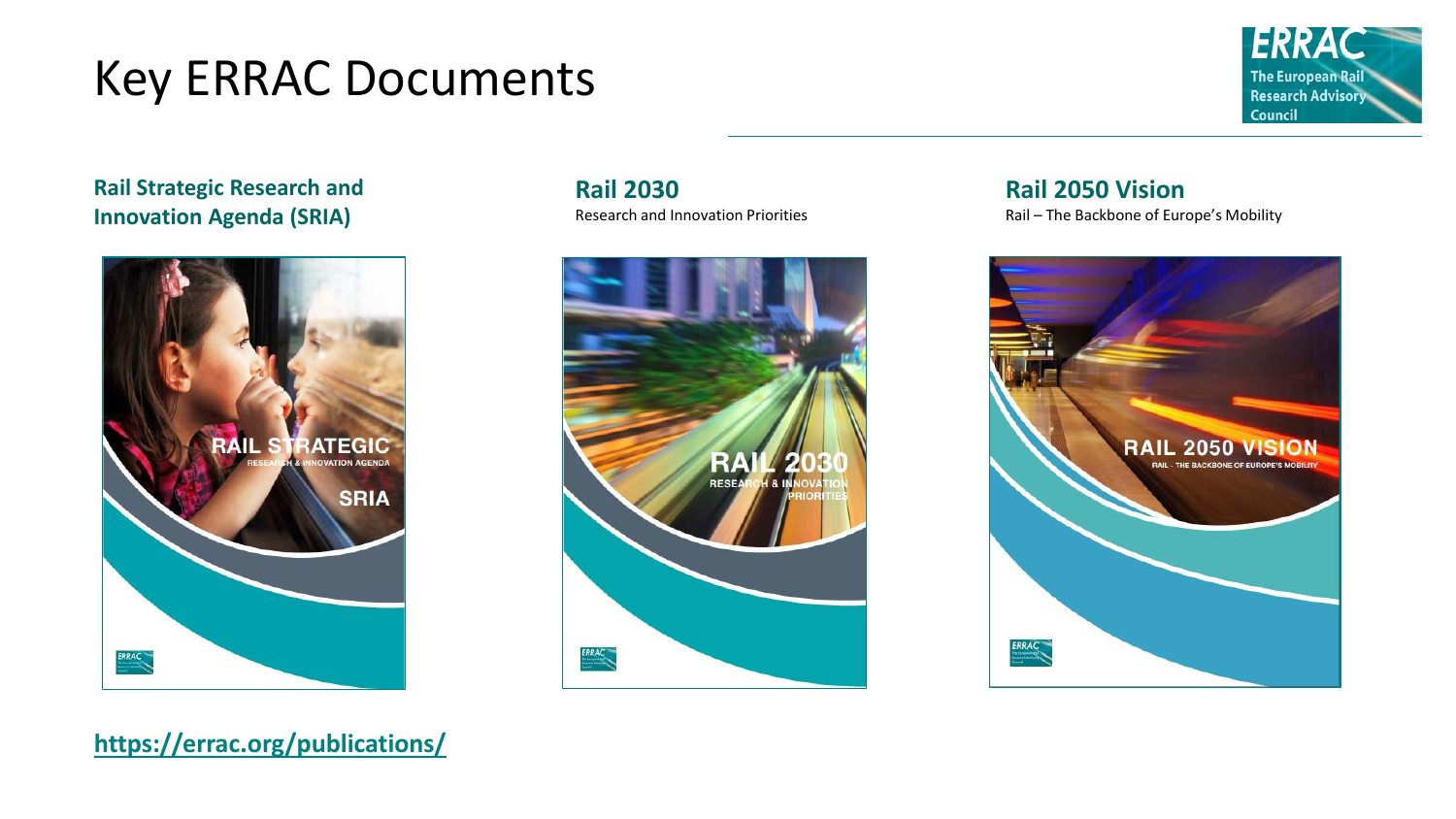# Key ERRAC Documents



**Rail Strategic Research and Innovation Agenda (SRIA)**



**Rail 2030** Research and Innovation Priorities



**Rail 2050 Vision**

Rail – The Backbone of Europe's Mobility



**<https://errac.org/publications/>**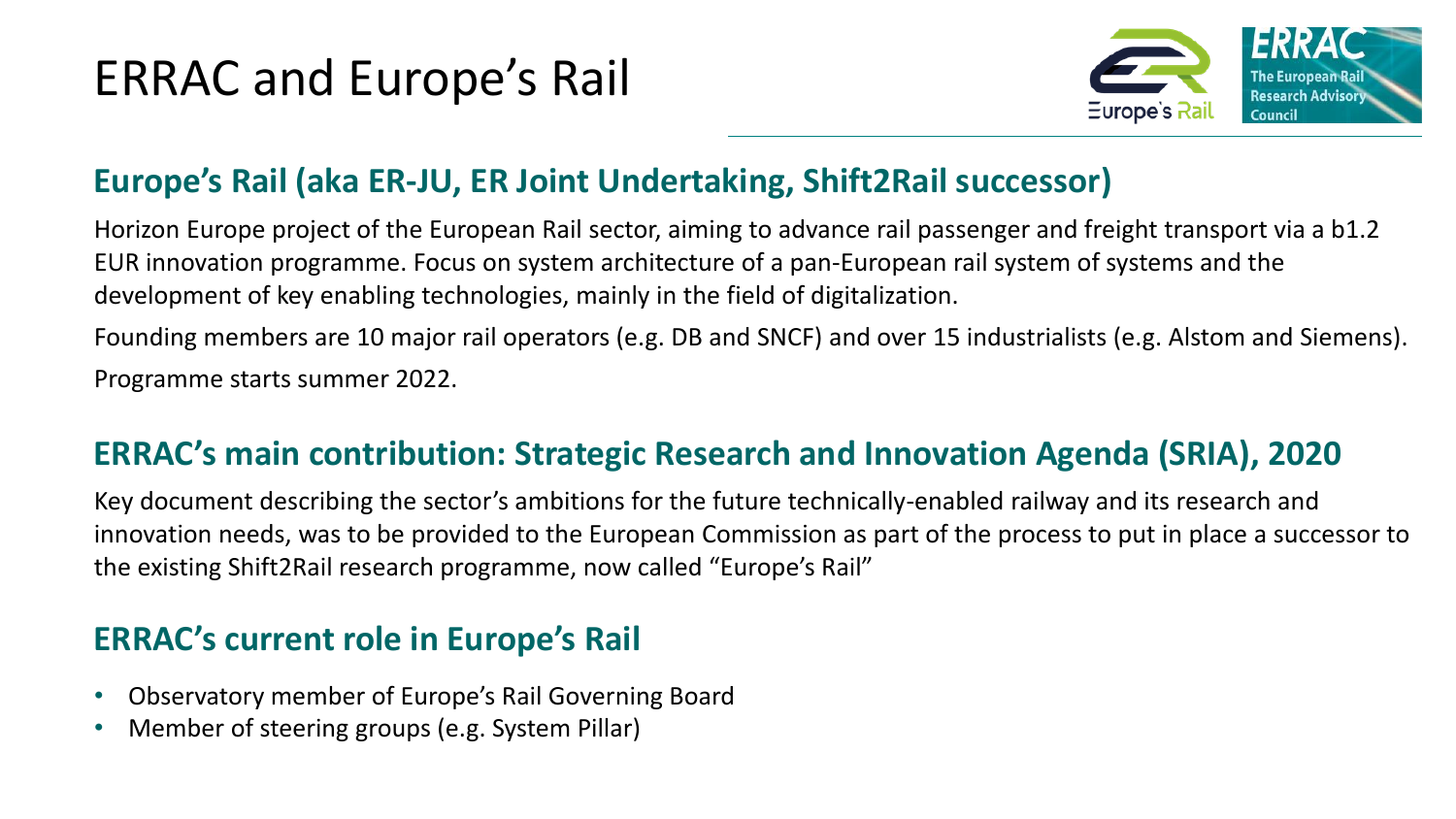# ERRAC and Europe's Rail



# **Europe's Rail (aka ER-JU, ER Joint Undertaking, Shift2Rail successor)**

Horizon Europe project of the European Rail sector, aiming to advance rail passenger and freight transport via a b1.2 EUR innovation programme. Focus on system architecture of a pan-European rail system of systems and the development of key enabling technologies, mainly in the field of digitalization.

Founding members are 10 major rail operators (e.g. DB and SNCF) and over 15 industrialists (e.g. Alstom and Siemens). Programme starts summer 2022.

# **ERRAC's main contribution: Strategic Research and Innovation Agenda (SRIA), 2020**

Key document describing the sector's ambitions for the future technically-enabled railway and its research and innovation needs, was to be provided to the European Commission as part of the process to put in place a successor to the existing Shift2Rail research programme, now called "Europe's Rail"

# **ERRAC's current role in Europe's Rail**

- Observatory member of Europe's Rail Governing Board
- Member of steering groups (e.g. System Pillar)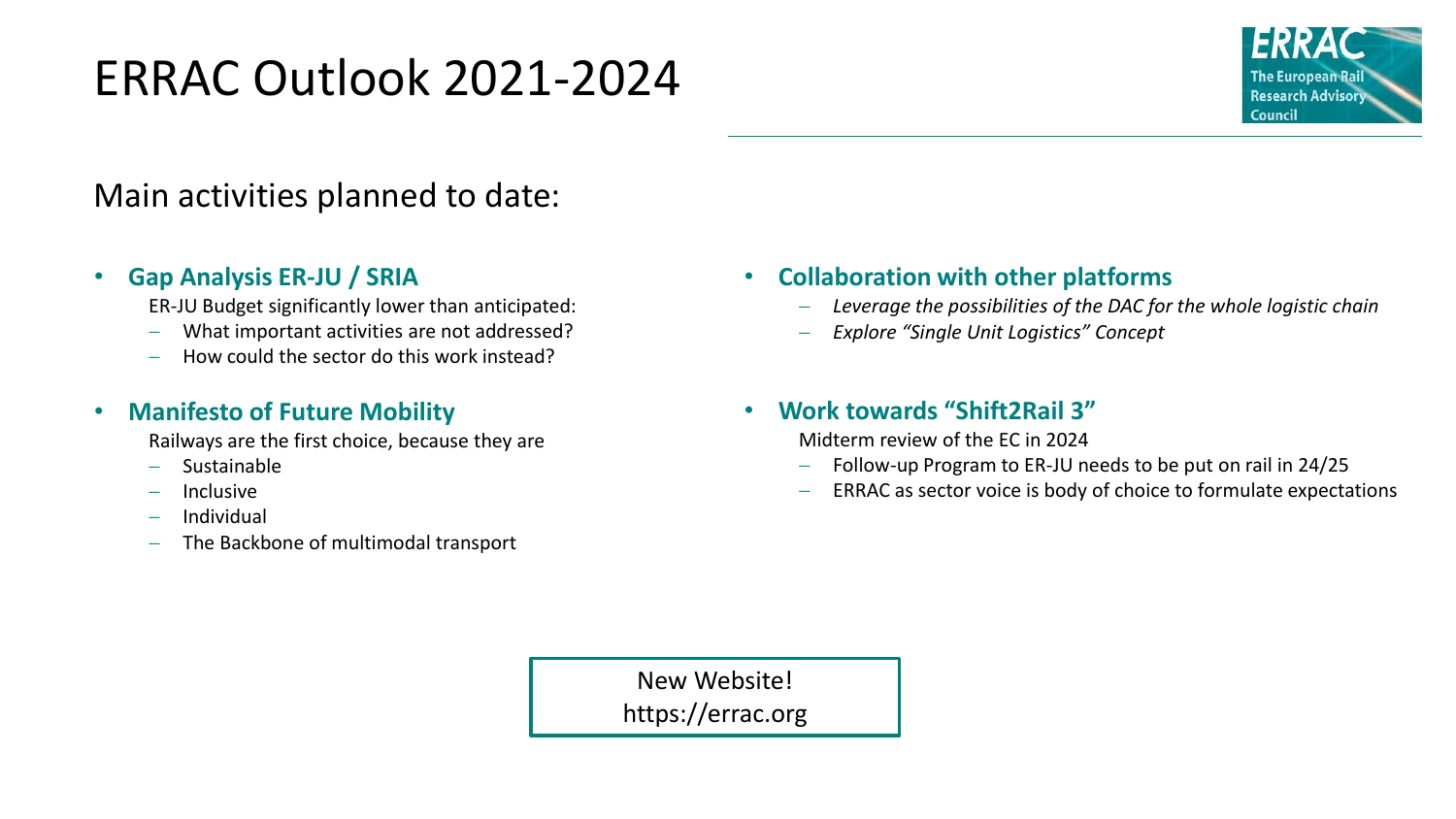# ERRAC Outlook 2021-2024



# Main activities planned to date:

### • **Gap Analysis ER-JU / SRIA**

ER-JU Budget significantly lower than anticipated:

- − What important activities are not addressed?
- − How could the sector do this work instead?

### • **Manifesto of Future Mobility**

Railways are the first choice, because they are

- − Sustainable
- − Inclusive
- − Individual
- The Backbone of multimodal transport

## • **Collaboration with other platforms**

- − *Leverage the possibilities of the DAC for the whole logistic chain*
- − *Explore "Single Unit Logistics" Concept*

### • **Work towards "Shift2Rail 3"**

Midterm review of the EC in 2024

- Follow-up Program to ER-JU needs to be put on rail in 24/25
- ERRAC as sector voice is body of choice to formulate expectations

New Website! https://errac.org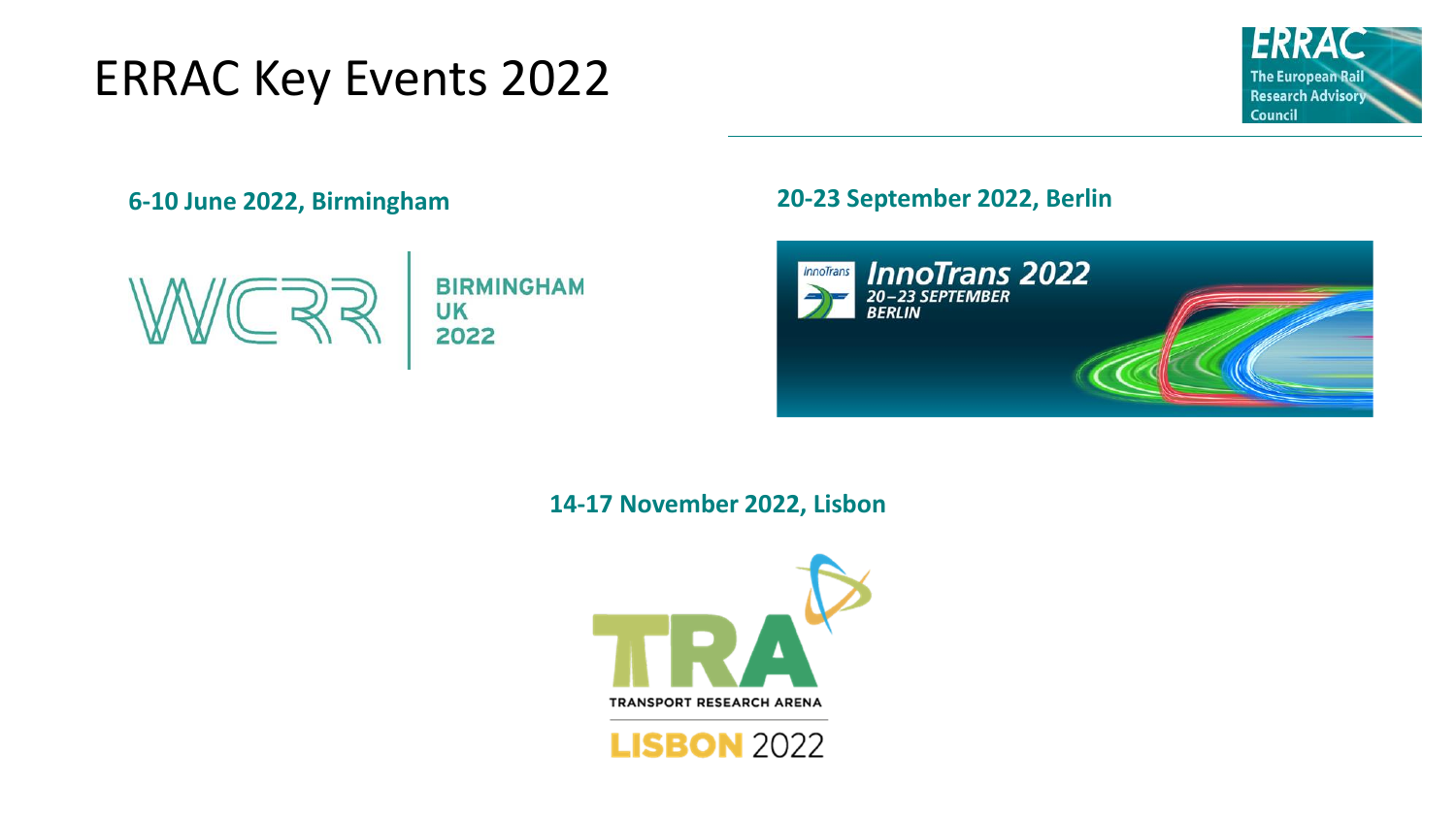# ERRAC Key Events 2022





## **6-10 June 2022, Birmingham 20-23 September 2022, Berlin**



### **14-17 November 2022, Lisbon**



**LISBON 2022**